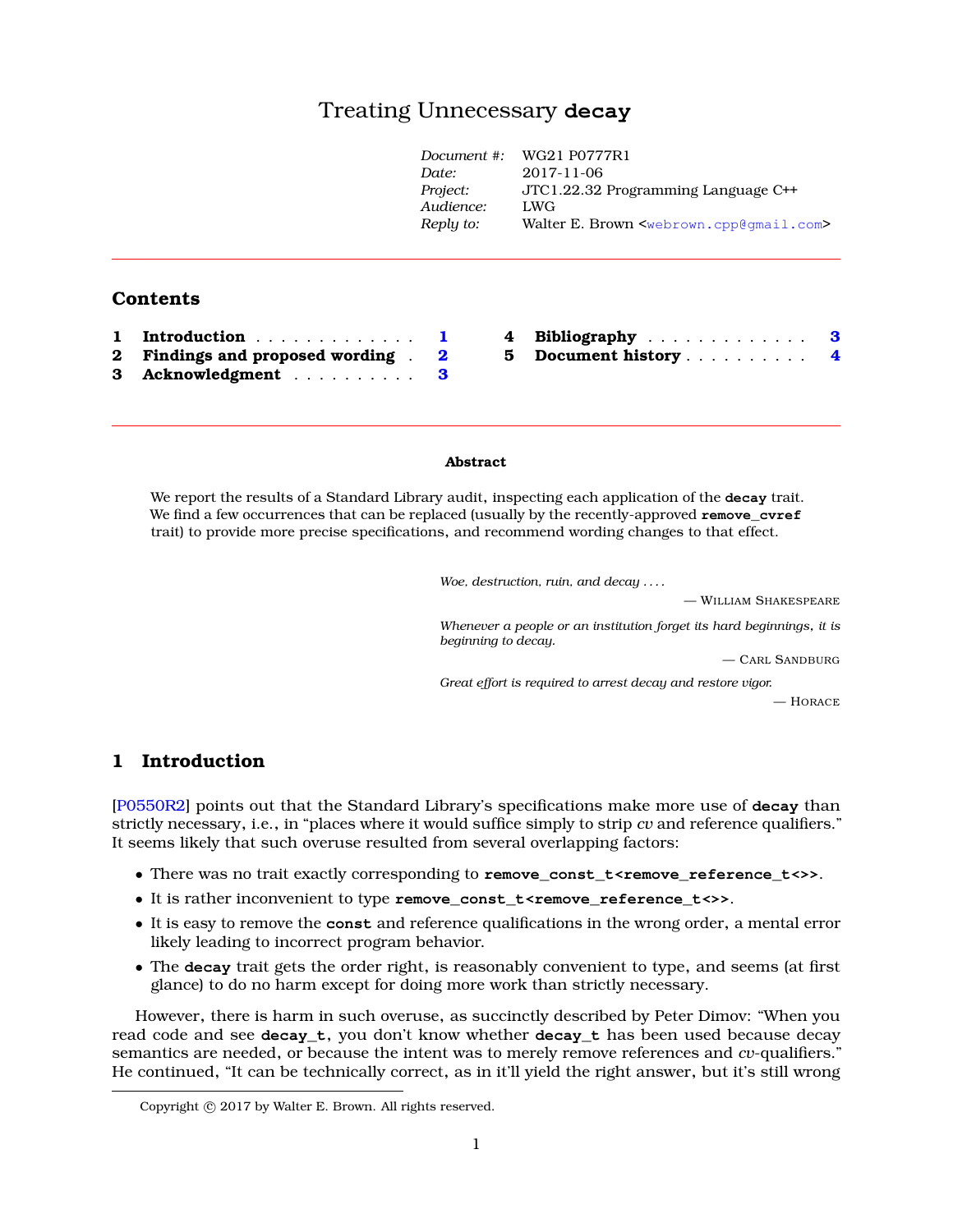# Treating Unnecessary **deca[y](#page-0-0)**

|          |                               | Document #: | WG21 P0777R1                                                    |
|----------|-------------------------------|-------------|-----------------------------------------------------------------|
|          |                               | Date:       | 2017-11-06                                                      |
|          |                               | Project:    | JTC1.22.32 Programming Language C++                             |
|          |                               | Audience:   | LWG                                                             |
|          |                               | Reply to:   | Walter E. Brown <webrown.cpp@qmail.com></webrown.cpp@qmail.com> |
|          | Contents                      |             |                                                                 |
|          |                               |             |                                                                 |
| 1        | Introduction                  | 4           | Bibliography 3                                                  |
| $\bf{2}$ | Findings and proposed wording | 5<br>2      | Document history                                                |
| 3        | Acknowledgment                | 3           |                                                                 |

#### **Abstract**

We report the results of a Standard Library audit, inspecting each application of the **decay** trait. We find a few occurrences that can be replaced (usually by the recently-approved **remove\_cvref** trait) to provide more precise specifications, and recommend wording changes to that effect.

*Woe, destruction, ruin, and decay . . . .*

— WILLIAM SHAKESPEARE *Whenever a people or an institution forget its hard beginnings, it is beginning to decay.*

— CARL SANDBURG

*Great effort is required to arrest decay and restore vigor.*

— HORACE

## <span id="page-0-1"></span>**1 Introduction**

[\[P0550R2\]](#page-2-2) points out that the Standard Library's specifications make more use of **decay** than strictly necessary, i.e., in "places where it would suffice simply to strip *cv* and reference qualifiers." It seems likely that such overuse resulted from several overlapping factors:

- There was no trait exactly corresponding to **remove\_const\_t<remove\_reference\_t<>>**.
- It is rather inconvenient to type **remove\_const\_t<remove\_reference\_t<>>**.
- It is easy to remove the **const** and reference qualifications in the wrong order, a mental error likely leading to incorrect program behavior.
- The **decay** trait gets the order right, is reasonably convenient to type, and seems (at first glance) to do no harm except for doing more work than strictly necessary.

However, there is harm in such overuse, as succinctly described by Peter Dimov: "When you read code and see **decay\_t**, you don't know whether **decay\_t** has been used because decay semantics are needed, or because the intent was to merely remove references and *cv*-qualifiers." He continued, "It can be technically correct, as in it'll yield the right answer, but it's still wrong

<span id="page-0-0"></span>Copyright  $©$  2017 by Walter E. Brown. All rights reserved.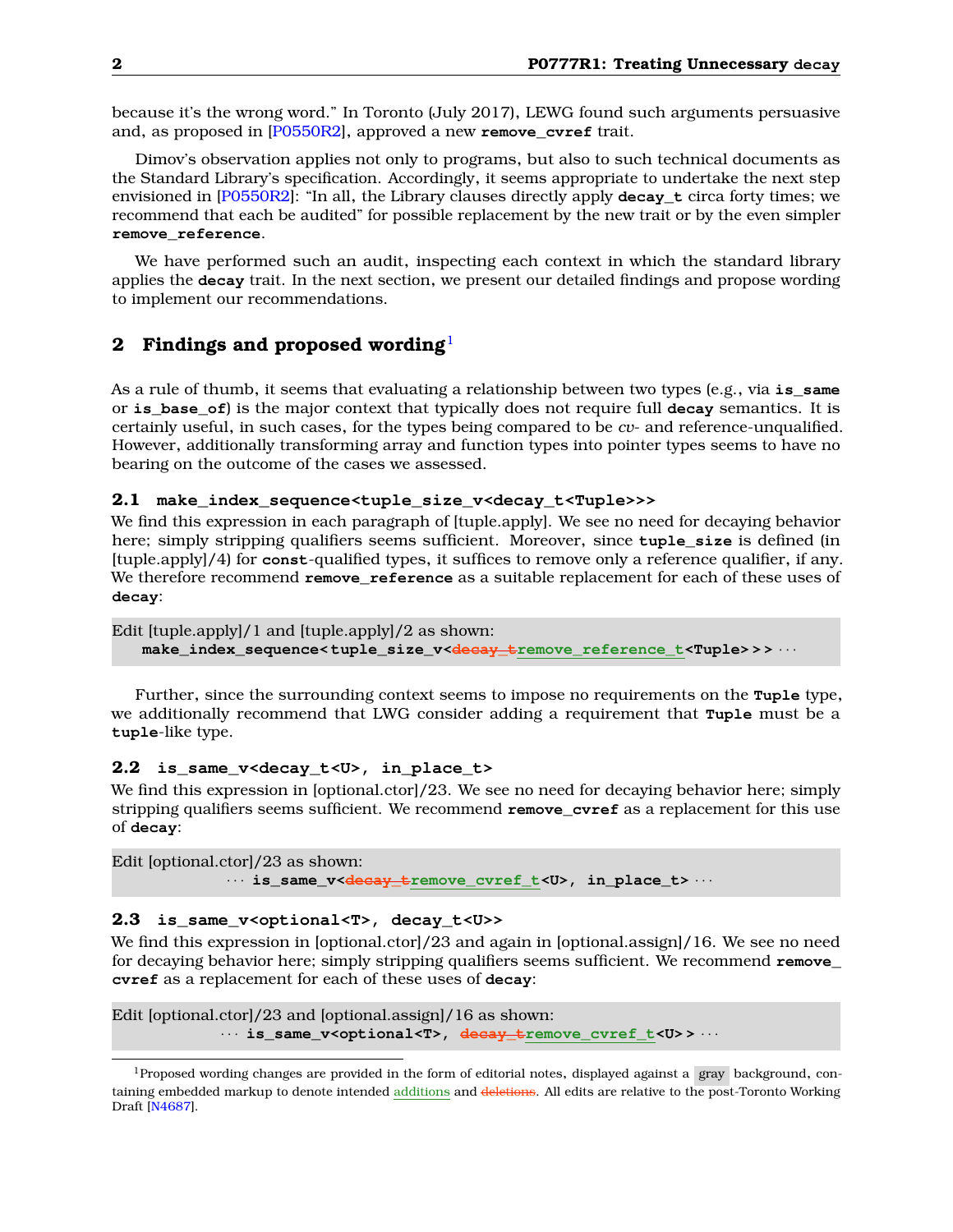because it's the wrong word." In Toronto (July 2017), LEWG found such arguments persuasive and, as proposed in [\[P0550R2\]](#page-2-2), approved a new **remove\_cvref** trait.

Dimov's observation applies not only to programs, but also to such technical documents as the Standard Library's specification. Accordingly, it seems appropriate to undertake the next step envisioned in [\[P0550R2\]](#page-2-2): "In all, the Library clauses directly apply **decay\_t** circa forty times; we recommend that each be audited" for possible replacement by the new trait or by the even simpler **remove\_reference**.

We have performed such an audit, inspecting each context in which the standard library applies the **decay** trait. In the next section, we present our detailed findings and propose wording to implement our recommendations.

## <span id="page-1-0"></span>**2 Findings and proposed wording**[1](#page-1-1)

As a rule of thumb, it seems that evaluating a relationship between two types (e.g., via **is same** or **is\_base\_of**) is the major context that typically does not require full **decay** semantics. It is certainly useful, in such cases, for the types being compared to be *cv*- and reference-unqualified. However, additionally transforming array and function types into pointer types seems to have no bearing on the outcome of the cases we assessed.

### **2.1 make\_index\_sequence<tuple\_size\_v<decay\_t<Tuple>>>**

We find this expression in each paragraph of [tuple.apply]. We see no need for decaying behavior here; simply stripping qualifiers seems sufficient. Moreover, since **tuple\_size** is defined (in [tuple.apply]/4) for **const**-qualified types, it suffices to remove only a reference qualifier, if any. We therefore recommend **remove\_reference** as a suitable replacement for each of these uses of **decay**:

```
Edit [tuple.apply]/1 and [tuple.apply]/2 as shown:
make_index_sequence< tuple_size_v<decay_tremove_reference_t<Tuple> > > · · ·
```
Further, since the surrounding context seems to impose no requirements on the **Tuple** type, we additionally recommend that LWG consider adding a requirement that **Tuple** must be a **tuple**-like type.

## **2.2 is\_same\_v<decay\_t<U>, in\_place\_t>**

We find this expression in [optional.ctor]/23. We see no need for decaying behavior here; simply stripping qualifiers seems sufficient. We recommend **remove\_cvref** as a replacement for this use of **decay**:

```
Edit [optional.ctor]/23 as shown:
           · · · is_same_v<decay_tremove_cvref_t<U>, in_place_t> · · ·
```
#### **2.3 is\_same\_v<optional<T>, decay\_t<U>>**

We find this expression in [optional.ctor]/23 and again in [optional.assign]/16. We see no need for decaying behavior here; simply stripping qualifiers seems sufficient. We recommend **remove\_ cvref** as a replacement for each of these uses of **decay**:

Edit [optional.ctor]/23 and [optional.assign]/16 as shown: · · · **is\_same\_v<optional<T>, decay\_tremove\_cvref\_t<U> >** · · ·

<span id="page-1-1"></span><sup>1</sup>Proposed wording changes are provided in the form of editorial notes, displayed against a gray background, containing embedded markup to denote intended additions and deletions. All edits are relative to the post-Toronto Working Draft [\[N4687\]](#page-2-3).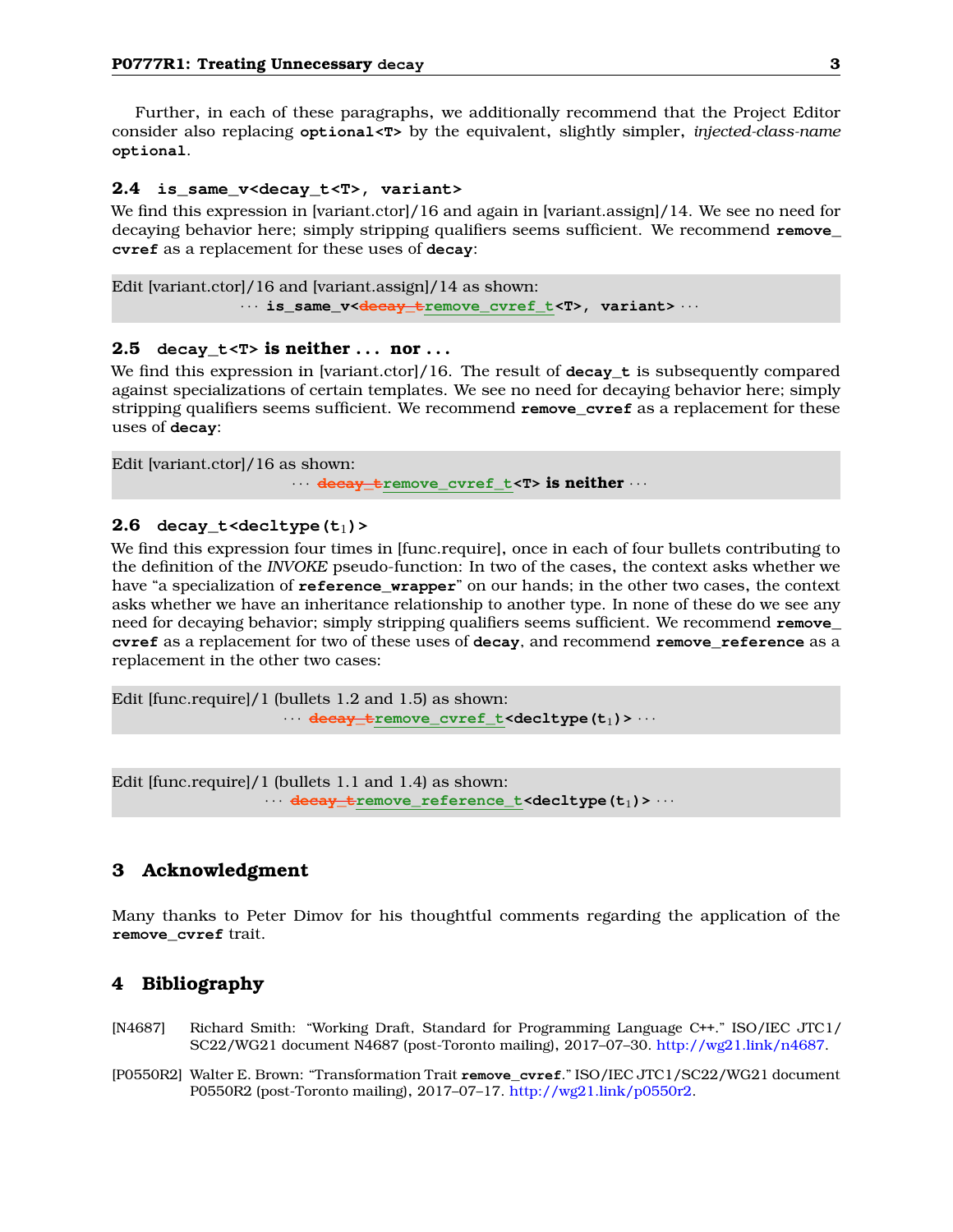Further, in each of these paragraphs, we additionally recommend that the Project Editor consider also replacing **optional<T>** by the equivalent, slightly simpler, *injected-class-name* **optional**.

#### **2.4 is\_same\_v<decay\_t<T>, variant>**

We find this expression in [variant.ctor]/16 and again in [variant.assign]/14. We see no need for decaying behavior here; simply stripping qualifiers seems sufficient. We recommend **remove\_ cvref** as a replacement for these uses of **decay**:

```
Edit [variant.ctor]/16 and [variant.assign]/14 as shown:
             · · · is_same_v<decay_tremove_cvref_t<T>, variant> · · ·
```
#### **2.5** decay\_t< $T$ > is neither ... nor ...

We find this expression in [variant.ctor]/16. The result of **decay\_t** is subsequently compared against specializations of certain templates. We see no need for decaying behavior here; simply stripping qualifiers seems sufficient. We recommend **remove\_cvref** as a replacement for these uses of **decay**:

```
Edit [variant.ctor]/16 as shown:
                     · · · decay_tremove_cvref_t<T> is neither · · ·
```
#### $2.6$  decay\_t<decltype $(t_1)$ >

We find this expression four times in [func.require], once in each of four bullets contributing to the definition of the *INVOKE* pseudo-function: In two of the cases, the context asks whether we have "a specialization of **reference\_wrapper**" on our hands; in the other two cases, the context asks whether we have an inheritance relationship to another type. In none of these do we see any need for decaying behavior; simply stripping qualifiers seems sufficient. We recommend **remove\_ cvref** as a replacement for two of these uses of **decay**, and recommend **remove\_reference** as a replacement in the other two cases:

```
Edit [func.require]/1 (bullets 1.2 and 1.5) as shown:
                   · · · decay_tremove_cvref_t<decltype(t1)> · · ·
```
Edit [func.require]/1 (bullets 1.1 and 1.4) as shown: · · · **decay\_tremove\_reference\_t<decltype(t**1**)>** · · ·

### <span id="page-2-0"></span>**3 Acknowledgment**

<span id="page-2-1"></span>Many thanks to Peter Dimov for his thoughtful comments regarding the application of the **remove\_cvref** trait.

## **4 Bibliography**

- <span id="page-2-3"></span>[N4687] Richard Smith: "Working Draft, Standard for Programming Language C++." ISO/IEC JTC1/ SC22/WG21 document N4687 (post-Toronto mailing), 2017–07–30. [http://wg21.link/n4687.](http://wg21.link/n4687)
- <span id="page-2-2"></span>[P0550R2] Walter E. Brown: "Transformation Trait **remove\_cvref**." ISO/IEC JTC1/SC22/WG21 document P0550R2 (post-Toronto mailing), 2017–07–17. [http://wg21.link/p0550r2.](http://wg21.link/p0550r2)